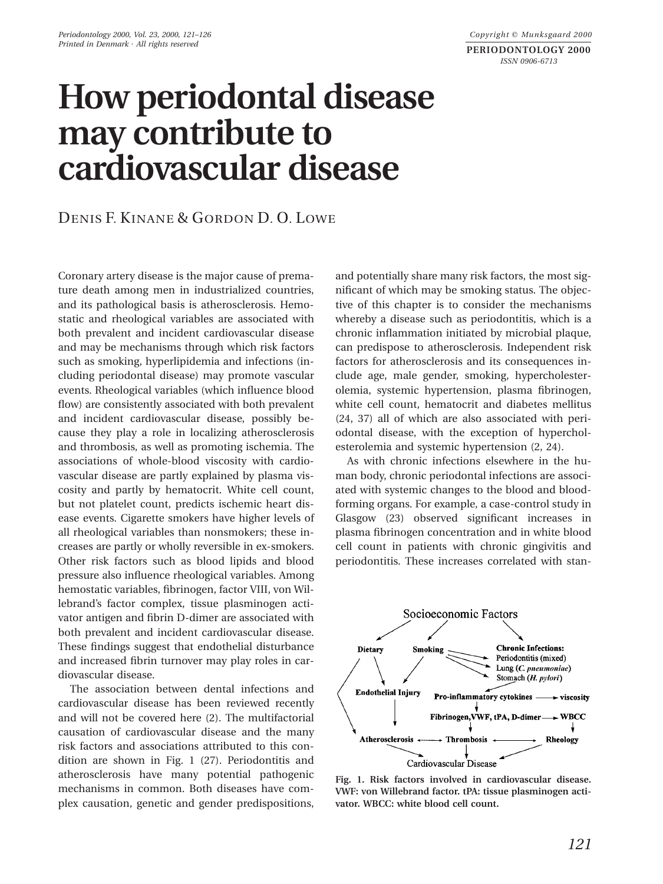# **How periodontal disease may contribute to cardiovascular disease**

## DENIS F. KINANE & GORDON D. O. LOWE

Coronary artery disease is the major cause of premature death among men in industrialized countries, and its pathological basis is atherosclerosis. Hemostatic and rheological variables are associated with both prevalent and incident cardiovascular disease and may be mechanisms through which risk factors such as smoking, hyperlipidemia and infections (including periodontal disease) may promote vascular events. Rheological variables (which influence blood flow) are consistently associated with both prevalent and incident cardiovascular disease, possibly because they play a role in localizing atherosclerosis and thrombosis, as well as promoting ischemia. The associations of whole-blood viscosity with cardiovascular disease are partly explained by plasma viscosity and partly by hematocrit. White cell count, but not platelet count, predicts ischemic heart disease events. Cigarette smokers have higher levels of all rheological variables than nonsmokers; these increases are partly or wholly reversible in ex-smokers. Other risk factors such as blood lipids and blood pressure also influence rheological variables. Among hemostatic variables, fibrinogen, factor VIII, von Willebrand's factor complex, tissue plasminogen activator antigen and fibrin D-dimer are associated with both prevalent and incident cardiovascular disease. These findings suggest that endothelial disturbance and increased fibrin turnover may play roles in cardiovascular disease.

The association between dental infections and cardiovascular disease has been reviewed recently and will not be covered here (2). The multifactorial causation of cardiovascular disease and the many risk factors and associations attributed to this condition are shown in Fig. 1 (27). Periodontitis and atherosclerosis have many potential pathogenic mechanisms in common. Both diseases have complex causation, genetic and gender predispositions,

and potentially share many risk factors, the most significant of which may be smoking status. The objective of this chapter is to consider the mechanisms whereby a disease such as periodontitis, which is a chronic inflammation initiated by microbial plaque, can predispose to atherosclerosis. Independent risk factors for atherosclerosis and its consequences include age, male gender, smoking, hypercholesterolemia, systemic hypertension, plasma fibrinogen, white cell count, hematocrit and diabetes mellitus (24, 37) all of which are also associated with periodontal disease, with the exception of hypercholesterolemia and systemic hypertension (2, 24).

As with chronic infections elsewhere in the human body, chronic periodontal infections are associated with systemic changes to the blood and bloodforming organs. For example, a case-control study in Glasgow (23) observed significant increases in plasma fibrinogen concentration and in white blood cell count in patients with chronic gingivitis and periodontitis. These increases correlated with stan-



**Fig. 1. Risk factors involved in cardiovascular disease. VWF: von Willebrand factor. tPA: tissue plasminogen activator. WBCC: white blood cell count.**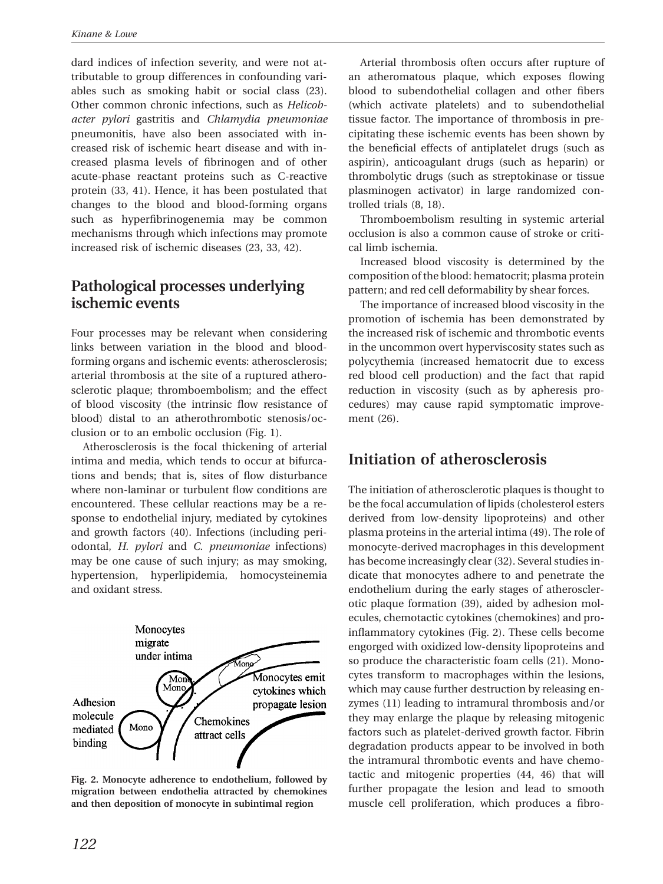dard indices of infection severity, and were not attributable to group differences in confounding variables such as smoking habit or social class (23). Other common chronic infections, such as *Helicobacter pylori* gastritis and *Chlamydia pneumoniae* pneumonitis, have also been associated with increased risk of ischemic heart disease and with increased plasma levels of fibrinogen and of other acute-phase reactant proteins such as C-reactive protein (33, 41). Hence, it has been postulated that changes to the blood and blood-forming organs such as hyperfibrinogenemia may be common mechanisms through which infections may promote increased risk of ischemic diseases (23, 33, 42).

## **Pathological processes underlying ischemic events**

Four processes may be relevant when considering links between variation in the blood and bloodforming organs and ischemic events: atherosclerosis; arterial thrombosis at the site of a ruptured atherosclerotic plaque; thromboembolism; and the effect of blood viscosity (the intrinsic flow resistance of blood) distal to an atherothrombotic stenosis/occlusion or to an embolic occlusion (Fig. 1).

Atherosclerosis is the focal thickening of arterial intima and media, which tends to occur at bifurcations and bends; that is, sites of flow disturbance where non-laminar or turbulent flow conditions are encountered. These cellular reactions may be a response to endothelial injury, mediated by cytokines and growth factors (40). Infections (including periodontal, *H. pylori* and *C. pneumoniae* infections) may be one cause of such injury; as may smoking, hypertension, hyperlipidemia, homocysteinemia and oxidant stress.



**Fig. 2. Monocyte adherence to endothelium, followed by migration between endothelia attracted by chemokines and then deposition of monocyte in subintimal region**

Arterial thrombosis often occurs after rupture of an atheromatous plaque, which exposes flowing blood to subendothelial collagen and other fibers (which activate platelets) and to subendothelial tissue factor. The importance of thrombosis in precipitating these ischemic events has been shown by the beneficial effects of antiplatelet drugs (such as aspirin), anticoagulant drugs (such as heparin) or thrombolytic drugs (such as streptokinase or tissue plasminogen activator) in large randomized controlled trials (8, 18).

Thromboembolism resulting in systemic arterial occlusion is also a common cause of stroke or critical limb ischemia.

Increased blood viscosity is determined by the composition of the blood: hematocrit; plasma protein pattern; and red cell deformability by shear forces.

The importance of increased blood viscosity in the promotion of ischemia has been demonstrated by the increased risk of ischemic and thrombotic events in the uncommon overt hyperviscosity states such as polycythemia (increased hematocrit due to excess red blood cell production) and the fact that rapid reduction in viscosity (such as by apheresis procedures) may cause rapid symptomatic improvement (26).

## **Initiation of atherosclerosis**

The initiation of atherosclerotic plaques is thought to be the focal accumulation of lipids (cholesterol esters derived from low-density lipoproteins) and other plasma proteins in the arterial intima (49). The role of monocyte-derived macrophages in this development has become increasingly clear (32). Several studies indicate that monocytes adhere to and penetrate the endothelium during the early stages of atherosclerotic plaque formation (39), aided by adhesion molecules, chemotactic cytokines (chemokines) and proinflammatory cytokines (Fig. 2). These cells become engorged with oxidized low-density lipoproteins and so produce the characteristic foam cells (21). Monocytes transform to macrophages within the lesions, which may cause further destruction by releasing enzymes (11) leading to intramural thrombosis and/or they may enlarge the plaque by releasing mitogenic factors such as platelet-derived growth factor. Fibrin degradation products appear to be involved in both the intramural thrombotic events and have chemotactic and mitogenic properties (44, 46) that will further propagate the lesion and lead to smooth muscle cell proliferation, which produces a fibro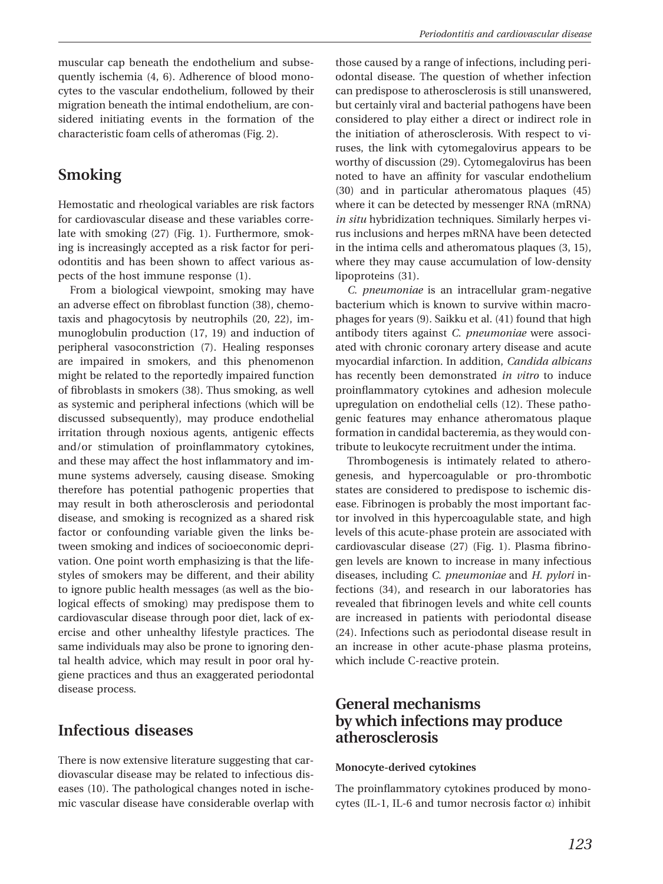muscular cap beneath the endothelium and subsequently ischemia (4, 6). Adherence of blood monocytes to the vascular endothelium, followed by their migration beneath the intimal endothelium, are considered initiating events in the formation of the characteristic foam cells of atheromas (Fig. 2).

# **Smoking**

Hemostatic and rheological variables are risk factors for cardiovascular disease and these variables correlate with smoking (27) (Fig. 1). Furthermore, smoking is increasingly accepted as a risk factor for periodontitis and has been shown to affect various aspects of the host immune response (1).

From a biological viewpoint, smoking may have an adverse effect on fibroblast function (38), chemotaxis and phagocytosis by neutrophils (20, 22), immunoglobulin production (17, 19) and induction of peripheral vasoconstriction (7). Healing responses are impaired in smokers, and this phenomenon might be related to the reportedly impaired function of fibroblasts in smokers (38). Thus smoking, as well as systemic and peripheral infections (which will be discussed subsequently), may produce endothelial irritation through noxious agents, antigenic effects and/or stimulation of proinflammatory cytokines, and these may affect the host inflammatory and immune systems adversely, causing disease. Smoking therefore has potential pathogenic properties that may result in both atherosclerosis and periodontal disease, and smoking is recognized as a shared risk factor or confounding variable given the links between smoking and indices of socioeconomic deprivation. One point worth emphasizing is that the lifestyles of smokers may be different, and their ability to ignore public health messages (as well as the biological effects of smoking) may predispose them to cardiovascular disease through poor diet, lack of exercise and other unhealthy lifestyle practices. The same individuals may also be prone to ignoring dental health advice, which may result in poor oral hygiene practices and thus an exaggerated periodontal disease process.

# **Infectious diseases**

There is now extensive literature suggesting that cardiovascular disease may be related to infectious diseases (10). The pathological changes noted in ischemic vascular disease have considerable overlap with

those caused by a range of infections, including periodontal disease. The question of whether infection can predispose to atherosclerosis is still unanswered, but certainly viral and bacterial pathogens have been considered to play either a direct or indirect role in the initiation of atherosclerosis. With respect to viruses, the link with cytomegalovirus appears to be worthy of discussion (29). Cytomegalovirus has been noted to have an affinity for vascular endothelium (30) and in particular atheromatous plaques (45) where it can be detected by messenger RNA (mRNA) *in situ* hybridization techniques. Similarly herpes virus inclusions and herpes mRNA have been detected in the intima cells and atheromatous plaques (3, 15), where they may cause accumulation of low-density lipoproteins (31).

*C. pneumoniae* is an intracellular gram-negative bacterium which is known to survive within macrophages for years (9). Saikku et al. (41) found that high antibody titers against *C. pneumoniae* were associated with chronic coronary artery disease and acute myocardial infarction. In addition, *Candida albicans* has recently been demonstrated *in vitro* to induce proinflammatory cytokines and adhesion molecule upregulation on endothelial cells (12). These pathogenic features may enhance atheromatous plaque formation in candidal bacteremia, as they would contribute to leukocyte recruitment under the intima.

Thrombogenesis is intimately related to atherogenesis, and hypercoagulable or pro-thrombotic states are considered to predispose to ischemic disease. Fibrinogen is probably the most important factor involved in this hypercoagulable state, and high levels of this acute-phase protein are associated with cardiovascular disease (27) (Fig. 1). Plasma fibrinogen levels are known to increase in many infectious diseases, including *C. pneumoniae* and *H. pylori* infections (34), and research in our laboratories has revealed that fibrinogen levels and white cell counts are increased in patients with periodontal disease (24). Infections such as periodontal disease result in an increase in other acute-phase plasma proteins, which include C-reactive protein.

# **General mechanisms by which infections may produce atherosclerosis**

## **Monocyte-derived cytokines**

The proinflammatory cytokines produced by monocytes (IL-1, IL-6 and tumor necrosis factor  $\alpha$ ) inhibit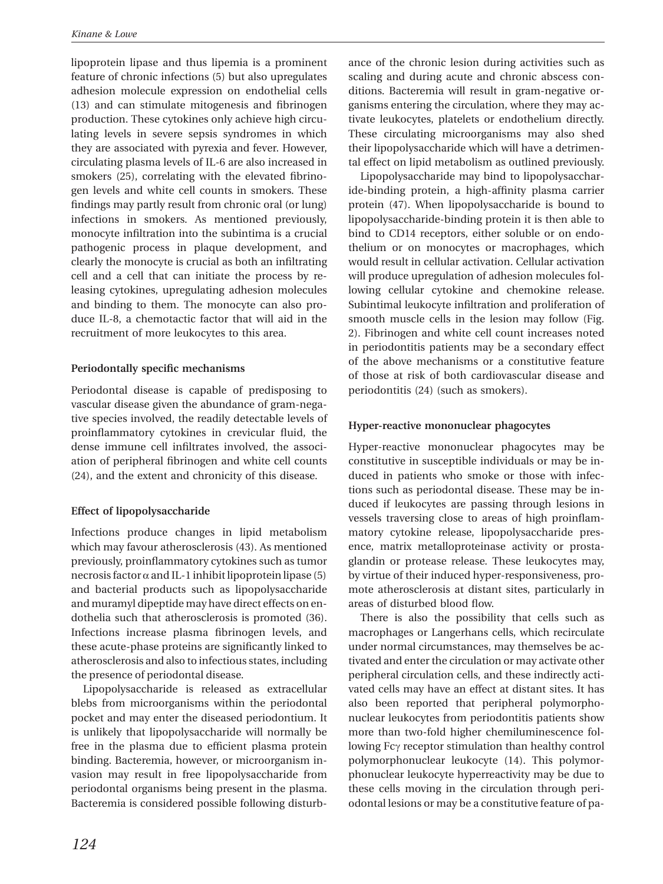lipoprotein lipase and thus lipemia is a prominent feature of chronic infections (5) but also upregulates adhesion molecule expression on endothelial cells (13) and can stimulate mitogenesis and fibrinogen production. These cytokines only achieve high circulating levels in severe sepsis syndromes in which they are associated with pyrexia and fever. However, circulating plasma levels of IL-6 are also increased in smokers (25), correlating with the elevated fibrinogen levels and white cell counts in smokers. These findings may partly result from chronic oral (or lung) infections in smokers. As mentioned previously, monocyte infiltration into the subintima is a crucial pathogenic process in plaque development, and clearly the monocyte is crucial as both an infiltrating cell and a cell that can initiate the process by releasing cytokines, upregulating adhesion molecules and binding to them. The monocyte can also produce IL-8, a chemotactic factor that will aid in the recruitment of more leukocytes to this area.

#### **Periodontally specific mechanisms**

Periodontal disease is capable of predisposing to vascular disease given the abundance of gram-negative species involved, the readily detectable levels of proinflammatory cytokines in crevicular fluid, the dense immune cell infiltrates involved, the association of peripheral fibrinogen and white cell counts (24), and the extent and chronicity of this disease.

### **Effect of lipopolysaccharide**

Infections produce changes in lipid metabolism which may favour atherosclerosis (43). As mentioned previously, proinflammatory cytokines such as tumor necrosis factor  $\alpha$  and IL-1 inhibit lipoprotein lipase (5) and bacterial products such as lipopolysaccharide and muramyl dipeptide may have direct effects on endothelia such that atherosclerosis is promoted (36). Infections increase plasma fibrinogen levels, and these acute-phase proteins are significantly linked to atherosclerosis and also to infectious states, including the presence of periodontal disease.

Lipopolysaccharide is released as extracellular blebs from microorganisms within the periodontal pocket and may enter the diseased periodontium. It is unlikely that lipopolysaccharide will normally be free in the plasma due to efficient plasma protein binding. Bacteremia, however, or microorganism invasion may result in free lipopolysaccharide from periodontal organisms being present in the plasma. Bacteremia is considered possible following disturbance of the chronic lesion during activities such as scaling and during acute and chronic abscess conditions. Bacteremia will result in gram-negative organisms entering the circulation, where they may activate leukocytes, platelets or endothelium directly. These circulating microorganisms may also shed their lipopolysaccharide which will have a detrimental effect on lipid metabolism as outlined previously.

Lipopolysaccharide may bind to lipopolysaccharide-binding protein, a high-affinity plasma carrier protein (47). When lipopolysaccharide is bound to lipopolysaccharide-binding protein it is then able to bind to CD14 receptors, either soluble or on endothelium or on monocytes or macrophages, which would result in cellular activation. Cellular activation will produce upregulation of adhesion molecules following cellular cytokine and chemokine release. Subintimal leukocyte infiltration and proliferation of smooth muscle cells in the lesion may follow (Fig. 2). Fibrinogen and white cell count increases noted in periodontitis patients may be a secondary effect of the above mechanisms or a constitutive feature of those at risk of both cardiovascular disease and periodontitis (24) (such as smokers).

### **Hyper-reactive mononuclear phagocytes**

Hyper-reactive mononuclear phagocytes may be constitutive in susceptible individuals or may be induced in patients who smoke or those with infections such as periodontal disease. These may be induced if leukocytes are passing through lesions in vessels traversing close to areas of high proinflammatory cytokine release, lipopolysaccharide presence, matrix metalloproteinase activity or prostaglandin or protease release. These leukocytes may, by virtue of their induced hyper-responsiveness, promote atherosclerosis at distant sites, particularly in areas of disturbed blood flow.

There is also the possibility that cells such as macrophages or Langerhans cells, which recirculate under normal circumstances, may themselves be activated and enter the circulation or may activate other peripheral circulation cells, and these indirectly activated cells may have an effect at distant sites. It has also been reported that peripheral polymorphonuclear leukocytes from periodontitis patients show more than two-fold higher chemiluminescence following Fcg receptor stimulation than healthy control polymorphonuclear leukocyte (14). This polymorphonuclear leukocyte hyperreactivity may be due to these cells moving in the circulation through periodontal lesions or may be a constitutive feature of pa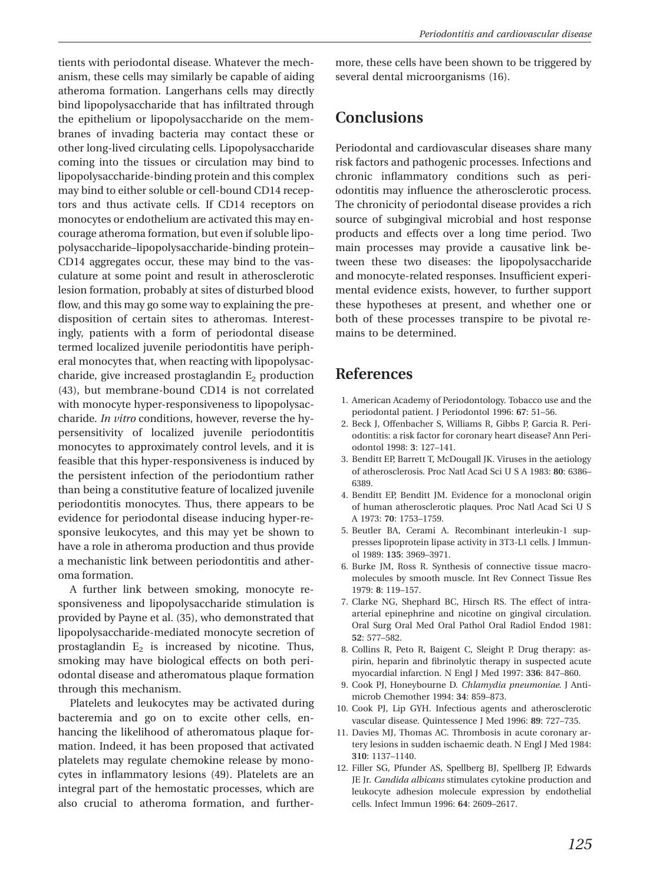tients with periodontal disease. Whatever the mechanism, these cells may similarly be capable of aiding atheroma formation. Langerhans cells may directly bind lipopolysaccharide that has infiltrated through the epithelium or lipopolysaccharide on the membranes of invading bacteria may contact these or other long-lived circulating cells. Lipopolysaccharide coming into the tissues or circulation may bind to lipopolysaccharide-binding protein and this complex may bind to either soluble or cell-bound CD14 receptors and thus activate cells. If CD14 receptors on monocytes or endothelium are activated this may encourage atheroma formation, but even if soluble lipopolysaccharide–lipopolysaccharide-binding protein– CD14 aggregates occur, these may bind to the vasculature at some point and result in atherosclerotic lesion formation, probably at sites of disturbed blood flow, and this may go some way to explaining the predisposition of certain sites to atheromas. Interestingly, patients with a form of periodontal disease termed localized juvenile periodontitis have peripheral monocytes that, when reacting with lipopolysaccharide, give increased prostaglandin  $E_2$  production (43), but membrane-bound CD14 is not correlated with monocyte hyper-responsiveness to lipopolysaccharide. *In vitro* conditions, however, reverse the hypersensitivity of localized juvenile periodontitis monocytes to approximately control levels, and it is feasible that this hyper-responsiveness is induced by the persistent infection of the periodontium rather than being a constitutive feature of localized juvenile periodontitis monocytes. Thus, there appears to be evidence for periodontal disease inducing hyper-responsive leukocytes, and this may yet be shown to have a role in atheroma production and thus provide a mechanistic link between periodontitis and atheroma formation.

A further link between smoking, monocyte responsiveness and lipopolysaccharide stimulation is provided by Payne et al. (35), who demonstrated that lipopolysaccharide-mediated monocyte secretion of prostaglandin  $E_2$  is increased by nicotine. Thus, smoking may have biological effects on both periodontal disease and atheromatous plaque formation through this mechanism.

Platelets and leukocytes may be activated during bacteremia and go on to excite other cells, enhancing the likelihood of atheromatous plaque formation. Indeed, it has been proposed that activated platelets may regulate chemokine release by monocytes in inflammatory lesions (49). Platelets are an integral part of the hemostatic processes, which are also crucial to atheroma formation, and furthermore, these cells have been shown to be triggered by several dental microorganisms (16).

## **Conclusions**

Periodontal and cardiovascular diseases share many risk factors and pathogenic processes. Infections and chronic inflammatory conditions such as periodontitis may influence the atherosclerotic process. The chronicity of periodontal disease provides a rich source of subgingival microbial and host response products and effects over a long time period. Two main processes may provide a causative link between these two diseases: the lipopolysaccharide and monocyte-related responses. Insufficient experimental evidence exists, however, to further support these hypotheses at present, and whether one or both of these processes transpire to be pivotal remains to be determined.

## **References**

- 1. American Academy of Periodontology. Tobacco use and the periodontal patient. J Periodontol 1996: **67**: 51–56.
- 2. Beck J, Offenbacher S, Williams R, Gibbs P, Garcia R. Periodontitis: a risk factor for coronary heart disease? Ann Periodontol 1998: **3**: 127–141.
- 3. Benditt EP, Barrett T, McDougall JK. Viruses in the aetiology of atherosclerosis. Proc Natl Acad SciUSA 1983: **80**: 6386– 6389.
- 4. Benditt EP, Benditt JM. Evidence for a monoclonal origin of human atherosclerotic plaques. Proc Natl Acad Sci U S A 1973: **70**: 1753–1759.
- 5. Beutler BA, Cerami A. Recombinant interleukin-1 suppresses lipoprotein lipase activity in 3T3-L1 cells. J Immunol 1989: **135**: 3969–3971.
- 6. Burke JM, Ross R. Synthesis of connective tissue macromolecules by smooth muscle. Int Rev Connect Tissue Res 1979: **8**: 119–157.
- 7. Clarke NG, Shephard BC, Hirsch RS. The effect of intraarterial epinephrine and nicotine on gingival circulation. Oral Surg Oral Med Oral Pathol Oral Radiol Endod 1981: **52**: 577–582.
- 8. Collins R, Peto R, Baigent C, Sleight P. Drug therapy: aspirin, heparin and fibrinolytic therapy in suspected acute myocardial infarction. N Engl J Med 1997: **336**: 847–860.
- 9. Cook PJ, Honeybourne D. *Chlamydia pneumoniae*. J Antimicrob Chemother 1994: **34**: 859–873.
- 10. Cook PJ, Lip GYH. Infectious agents and atherosclerotic vascular disease. Quintessence J Med 1996: **89**: 727–735.
- 11. Davies MJ, Thomas AC. Thrombosis in acute coronary artery lesions in sudden ischaemic death. N Engl J Med 1984: **310**: 1137–1140.
- 12. Filler SG, Pfunder AS, Spellberg BJ, Spellberg JP, Edwards JE Jr. *Candida albicans* stimulates cytokine production and leukocyte adhesion molecule expression by endothelial cells. Infect Immun 1996: **64**: 2609–2617.